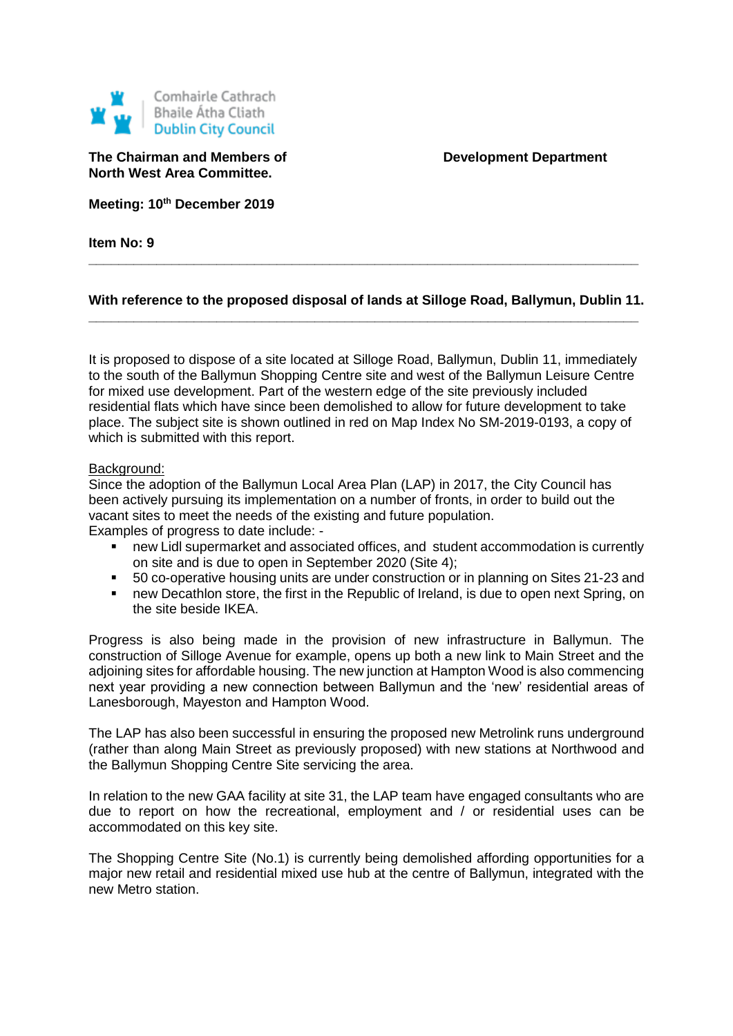

**The Chairman and Members of <b>Development** Department **North West Area Committee.**

**Meeting: 10th December 2019**

**Item No: 9**

## **With reference to the proposed disposal of lands at Silloge Road, Ballymun, Dublin 11. \_\_\_\_\_\_\_\_\_\_\_\_\_\_\_\_\_\_\_\_\_\_\_\_\_\_\_\_\_\_\_\_\_\_\_\_\_\_\_\_\_\_\_\_\_\_\_\_\_\_\_\_\_\_\_\_\_\_\_\_\_\_\_\_\_\_\_\_\_\_\_\_\_**

**\_\_\_\_\_\_\_\_\_\_\_\_\_\_\_\_\_\_\_\_\_\_\_\_\_\_\_\_\_\_\_\_\_\_\_\_\_\_\_\_\_\_\_\_\_\_\_\_\_\_\_\_\_\_\_\_\_\_\_\_\_\_\_\_\_\_\_\_\_\_\_\_\_**

It is proposed to dispose of a site located at Silloge Road, Ballymun, Dublin 11, immediately to the south of the Ballymun Shopping Centre site and west of the Ballymun Leisure Centre for mixed use development. Part of the western edge of the site previously included residential flats which have since been demolished to allow for future development to take place. The subject site is shown outlined in red on Map Index No SM-2019-0193, a copy of which is submitted with this report.

## Background:

Since the adoption of the Ballymun Local Area Plan (LAP) in 2017, the City Council has been actively pursuing its implementation on a number of fronts, in order to build out the vacant sites to meet the needs of the existing and future population. Examples of progress to date include: -

- new Lidl supermarket and associated offices, and student accommodation is currently on site and is due to open in September 2020 (Site 4);
- 50 co-operative housing units are under construction or in planning on Sites 21-23 and
- new Decathlon store, the first in the Republic of Ireland, is due to open next Spring, on the site beside IKEA.

Progress is also being made in the provision of new infrastructure in Ballymun. The construction of Silloge Avenue for example, opens up both a new link to Main Street and the adjoining sites for affordable housing. The new junction at Hampton Wood is also commencing next year providing a new connection between Ballymun and the 'new' residential areas of Lanesborough, Mayeston and Hampton Wood.

The LAP has also been successful in ensuring the proposed new Metrolink runs underground (rather than along Main Street as previously proposed) with new stations at Northwood and the Ballymun Shopping Centre Site servicing the area.

In relation to the new GAA facility at site 31, the LAP team have engaged consultants who are due to report on how the recreational, employment and / or residential uses can be accommodated on this key site.

The Shopping Centre Site (No.1) is currently being demolished affording opportunities for a major new retail and residential mixed use hub at the centre of Ballymun, integrated with the new Metro station.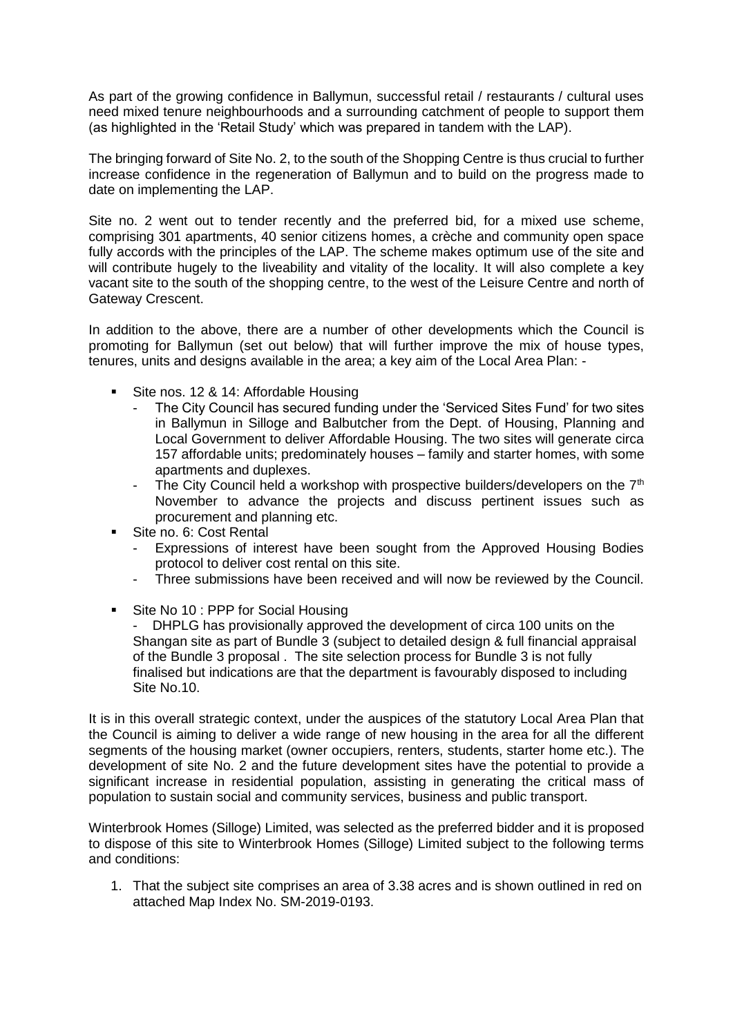As part of the growing confidence in Ballymun, successful retail / restaurants / cultural uses need mixed tenure neighbourhoods and a surrounding catchment of people to support them (as highlighted in the 'Retail Study' which was prepared in tandem with the LAP).

The bringing forward of Site No. 2, to the south of the Shopping Centre is thus crucial to further increase confidence in the regeneration of Ballymun and to build on the progress made to date on implementing the LAP.

Site no. 2 went out to tender recently and the preferred bid, for a mixed use scheme, comprising 301 apartments, 40 senior citizens homes, a crèche and community open space fully accords with the principles of the LAP. The scheme makes optimum use of the site and will contribute hugely to the liveability and vitality of the locality. It will also complete a key vacant site to the south of the shopping centre, to the west of the Leisure Centre and north of Gateway Crescent.

In addition to the above, there are a number of other developments which the Council is promoting for Ballymun (set out below) that will further improve the mix of house types, tenures, units and designs available in the area; a key aim of the Local Area Plan: -

- Site nos. 12 & 14: Affordable Housing
	- The City Council has secured funding under the 'Serviced Sites Fund' for two sites in Ballymun in Silloge and Balbutcher from the Dept. of Housing, Planning and Local Government to deliver Affordable Housing. The two sites will generate circa 157 affordable units; predominately houses – family and starter homes, with some apartments and duplexes.
	- The City Council held a workshop with prospective builders/developers on the  $7<sup>th</sup>$ November to advance the projects and discuss pertinent issues such as procurement and planning etc.
- Site no. 6: Cost Rental
	- Expressions of interest have been sought from the Approved Housing Bodies protocol to deliver cost rental on this site.
	- Three submissions have been received and will now be reviewed by the Council.
- Site No 10 : PPP for Social Housing

DHPLG has provisionally approved the development of circa 100 units on the Shangan site as part of Bundle 3 (subject to detailed design & full financial appraisal of the Bundle 3 proposal . The site selection process for Bundle 3 is not fully finalised but indications are that the department is favourably disposed to including Site No.10.

It is in this overall strategic context, under the auspices of the statutory Local Area Plan that the Council is aiming to deliver a wide range of new housing in the area for all the different segments of the housing market (owner occupiers, renters, students, starter home etc.). The development of site No. 2 and the future development sites have the potential to provide a significant increase in residential population, assisting in generating the critical mass of population to sustain social and community services, business and public transport.

Winterbrook Homes (Silloge) Limited, was selected as the preferred bidder and it is proposed to dispose of this site to Winterbrook Homes (Silloge) Limited subject to the following terms and conditions:

1. That the subject site comprises an area of 3.38 acres and is shown outlined in red on attached Map Index No. SM-2019-0193.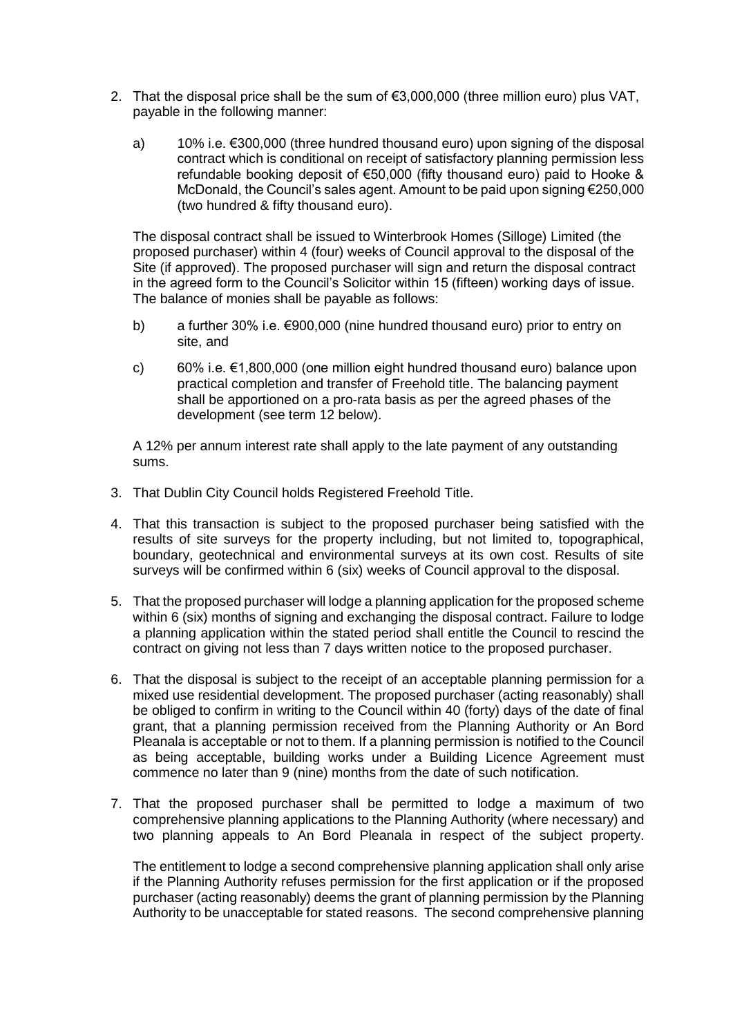- 2. That the disposal price shall be the sum of €3,000,000 (three million euro) plus VAT, payable in the following manner:
	- a) 10% i.e.  $\epsilon$ 300,000 (three hundred thousand euro) upon signing of the disposal contract which is conditional on receipt of satisfactory planning permission less refundable booking deposit of €50,000 (fifty thousand euro) paid to Hooke & McDonald, the Council's sales agent. Amount to be paid upon signing €250,000 (two hundred & fifty thousand euro).

The disposal contract shall be issued to Winterbrook Homes (Silloge) Limited (the proposed purchaser) within 4 (four) weeks of Council approval to the disposal of the Site (if approved). The proposed purchaser will sign and return the disposal contract in the agreed form to the Council's Solicitor within 15 (fifteen) working days of issue. The balance of monies shall be payable as follows:

- b) a further 30% i.e. €900,000 (nine hundred thousand euro) prior to entry on site, and
- c) 60% i.e. €1,800,000 (one million eight hundred thousand euro) balance upon practical completion and transfer of Freehold title. The balancing payment shall be apportioned on a pro-rata basis as per the agreed phases of the development (see term 12 below).

A 12% per annum interest rate shall apply to the late payment of any outstanding sums.

- 3. That Dublin City Council holds Registered Freehold Title.
- 4. That this transaction is subject to the proposed purchaser being satisfied with the results of site surveys for the property including, but not limited to, topographical, boundary, geotechnical and environmental surveys at its own cost. Results of site surveys will be confirmed within 6 (six) weeks of Council approval to the disposal.
- 5. That the proposed purchaser will lodge a planning application for the proposed scheme within 6 (six) months of signing and exchanging the disposal contract. Failure to lodge a planning application within the stated period shall entitle the Council to rescind the contract on giving not less than 7 days written notice to the proposed purchaser.
- 6. That the disposal is subject to the receipt of an acceptable planning permission for a mixed use residential development. The proposed purchaser (acting reasonably) shall be obliged to confirm in writing to the Council within 40 (forty) days of the date of final grant, that a planning permission received from the Planning Authority or An Bord Pleanala is acceptable or not to them. If a planning permission is notified to the Council as being acceptable, building works under a Building Licence Agreement must commence no later than 9 (nine) months from the date of such notification.
- 7. That the proposed purchaser shall be permitted to lodge a maximum of two comprehensive planning applications to the Planning Authority (where necessary) and two planning appeals to An Bord Pleanala in respect of the subject property.

The entitlement to lodge a second comprehensive planning application shall only arise if the Planning Authority refuses permission for the first application or if the proposed purchaser (acting reasonably) deems the grant of planning permission by the Planning Authority to be unacceptable for stated reasons. The second comprehensive planning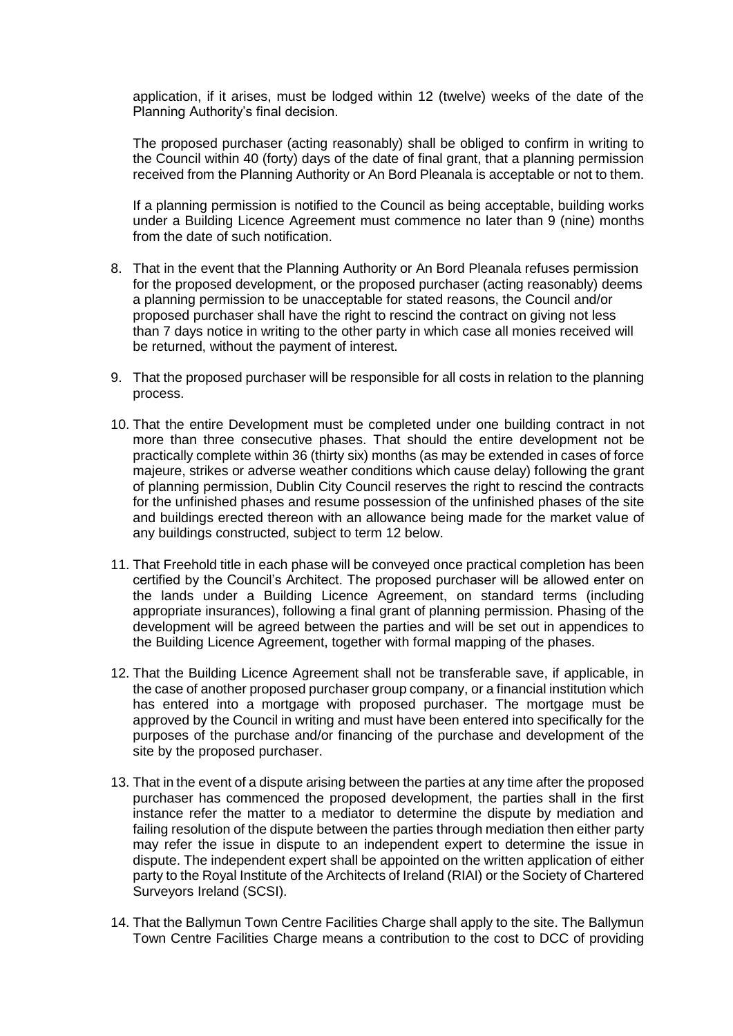application, if it arises, must be lodged within 12 (twelve) weeks of the date of the Planning Authority's final decision.

The proposed purchaser (acting reasonably) shall be obliged to confirm in writing to the Council within 40 (forty) days of the date of final grant, that a planning permission received from the Planning Authority or An Bord Pleanala is acceptable or not to them.

If a planning permission is notified to the Council as being acceptable, building works under a Building Licence Agreement must commence no later than 9 (nine) months from the date of such notification.

- 8. That in the event that the Planning Authority or An Bord Pleanala refuses permission for the proposed development, or the proposed purchaser (acting reasonably) deems a planning permission to be unacceptable for stated reasons, the Council and/or proposed purchaser shall have the right to rescind the contract on giving not less than 7 days notice in writing to the other party in which case all monies received will be returned, without the payment of interest.
- 9. That the proposed purchaser will be responsible for all costs in relation to the planning process.
- 10. That the entire Development must be completed under one building contract in not more than three consecutive phases. That should the entire development not be practically complete within 36 (thirty six) months (as may be extended in cases of force majeure, strikes or adverse weather conditions which cause delay) following the grant of planning permission, Dublin City Council reserves the right to rescind the contracts for the unfinished phases and resume possession of the unfinished phases of the site and buildings erected thereon with an allowance being made for the market value of any buildings constructed, subject to term 12 below.
- 11. That Freehold title in each phase will be conveyed once practical completion has been certified by the Council's Architect. The proposed purchaser will be allowed enter on the lands under a Building Licence Agreement, on standard terms (including appropriate insurances), following a final grant of planning permission. Phasing of the development will be agreed between the parties and will be set out in appendices to the Building Licence Agreement, together with formal mapping of the phases.
- 12. That the Building Licence Agreement shall not be transferable save, if applicable, in the case of another proposed purchaser group company, or a financial institution which has entered into a mortgage with proposed purchaser. The mortgage must be approved by the Council in writing and must have been entered into specifically for the purposes of the purchase and/or financing of the purchase and development of the site by the proposed purchaser.
- 13. That in the event of a dispute arising between the parties at any time after the proposed purchaser has commenced the proposed development, the parties shall in the first instance refer the matter to a mediator to determine the dispute by mediation and failing resolution of the dispute between the parties through mediation then either party may refer the issue in dispute to an independent expert to determine the issue in dispute. The independent expert shall be appointed on the written application of either party to the Royal Institute of the Architects of Ireland (RIAI) or the Society of Chartered Surveyors Ireland (SCSI).
- 14. That the Ballymun Town Centre Facilities Charge shall apply to the site. The Ballymun Town Centre Facilities Charge means a contribution to the cost to DCC of providing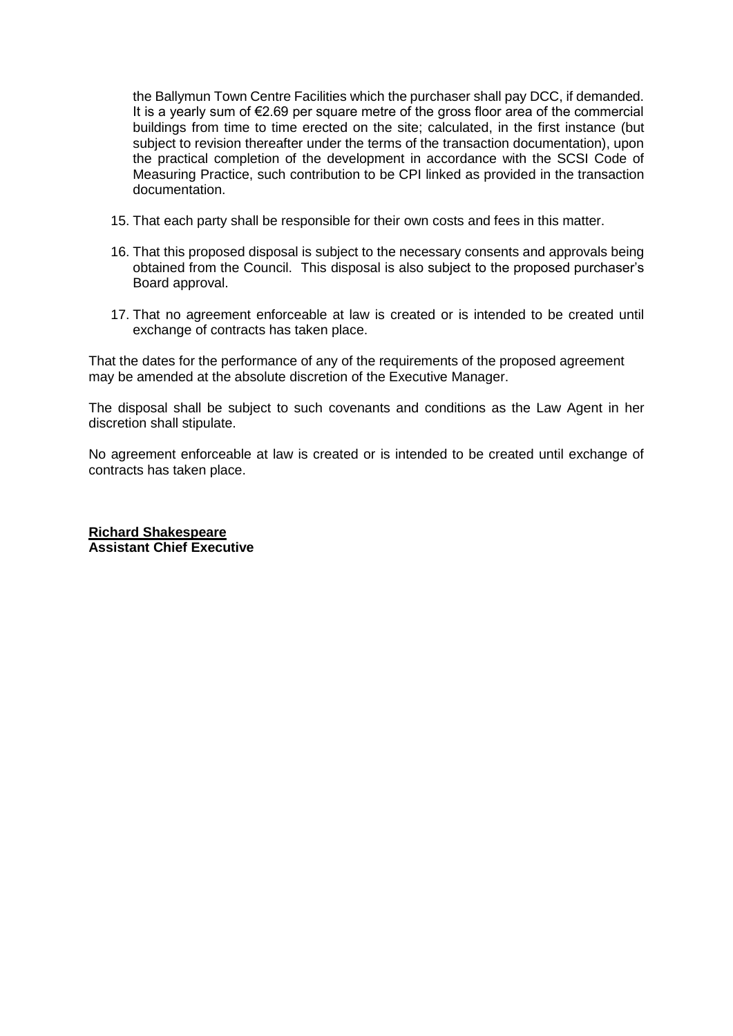the Ballymun Town Centre Facilities which the purchaser shall pay DCC, if demanded. It is a yearly sum of €2.69 per square metre of the gross floor area of the commercial buildings from time to time erected on the site; calculated, in the first instance (but subject to revision thereafter under the terms of the transaction documentation), upon the practical completion of the development in accordance with the SCSI Code of Measuring Practice, such contribution to be CPI linked as provided in the transaction documentation.

- 15. That each party shall be responsible for their own costs and fees in this matter.
- 16. That this proposed disposal is subject to the necessary consents and approvals being obtained from the Council. This disposal is also subject to the proposed purchaser's Board approval.
- 17. That no agreement enforceable at law is created or is intended to be created until exchange of contracts has taken place.

That the dates for the performance of any of the requirements of the proposed agreement may be amended at the absolute discretion of the Executive Manager.

The disposal shall be subject to such covenants and conditions as the Law Agent in her discretion shall stipulate.

No agreement enforceable at law is created or is intended to be created until exchange of contracts has taken place.

**Richard Shakespeare Assistant Chief Executive**